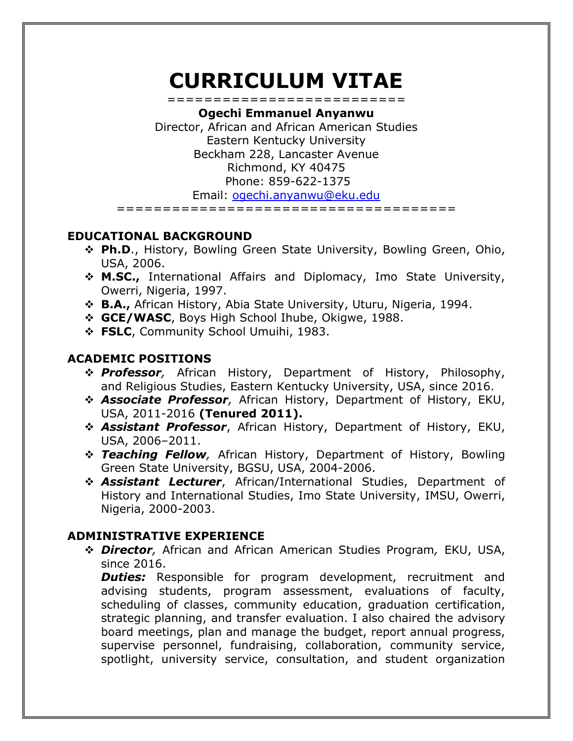# **CURRICULUM VITAE** ==========================

**Ogechi Emmanuel Anyanwu** Director, African and African American Studies Eastern Kentucky University Beckham 228, Lancaster Avenue Richmond, KY 40475 Phone: 859-622-1375 Email: [ogechi.anyanwu@eku.edu](mailto:ogechi.anyanwu@eku.edu) =====================================

## **EDUCATIONAL BACKGROUND**

- ❖ **Ph.D**., History, Bowling Green State University, Bowling Green, Ohio, USA, 2006.
- ❖ **M.SC.,** International Affairs and Diplomacy, Imo State University, Owerri, Nigeria, 1997.
- ❖ **B.A.,** African History, Abia State University, Uturu, Nigeria, 1994.
- ❖ **GCE/WASC**, Boys High School Ihube, Okigwe, 1988.
- ❖ **FSLC**, Community School Umuihi, 1983.

# **ACADEMIC POSITIONS**

- ❖ *Professor,* African History, Department of History, Philosophy, and Religious Studies, Eastern Kentucky University, USA, since 2016.
- ❖ *Associate Professor,* African History, Department of History, EKU, USA, 2011-2016 **(Tenured 2011).**
- ❖ *Assistant Professor*, African History, Department of History, EKU, USA, 2006–2011.
- ❖ *Teaching Fellow,* African History, Department of History, Bowling Green State University, BGSU, USA, 2004-2006.
- ❖ *Assistant Lecturer*, African/International Studies, Department of History and International Studies, Imo State University, IMSU, Owerri, Nigeria, 2000-2003.

# **ADMINISTRATIVE EXPERIENCE**

❖ *Director,* African and African American Studies Program*,* EKU, USA, since 2016.

**Duties:** Responsible for program development, recruitment and advising students, program assessment, evaluations of faculty, scheduling of classes, community education, graduation certification, strategic planning, and transfer evaluation. I also chaired the advisory board meetings, plan and manage the budget, report annual progress, supervise personnel, fundraising, collaboration, community service, spotlight, university service, consultation, and student organization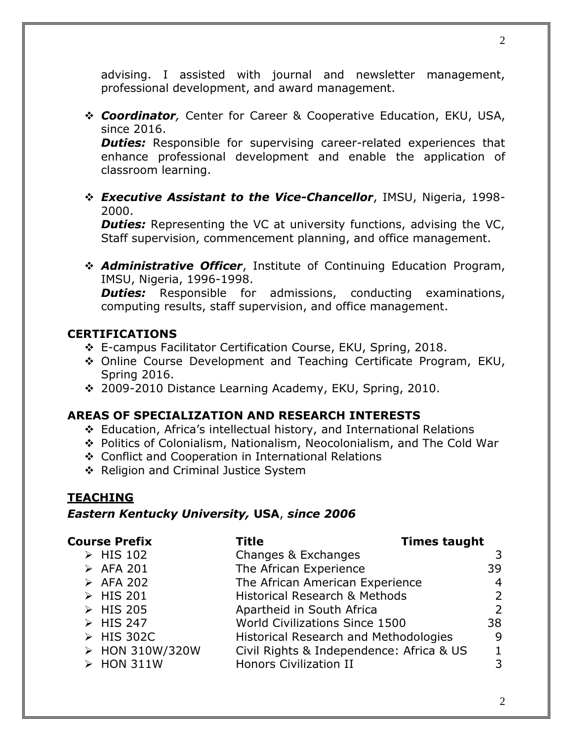advising. I assisted with journal and newsletter management, professional development, and award management.

❖ *Coordinator,* Center for Career & Cooperative Education, EKU, USA, since 2016.

**Duties:** Responsible for supervising career-related experiences that enhance professional development and enable the application of classroom learning.

❖ *Executive Assistant to the Vice-Chancellor*, IMSU, Nigeria, 1998- 2000.

**Duties:** Representing the VC at university functions, advising the VC, Staff supervision, commencement planning, and office management.

❖ *Administrative Officer*, Institute of Continuing Education Program, IMSU, Nigeria, 1996-1998.

*Duties:* Responsible for admissions, conducting examinations, computing results, staff supervision, and office management.

#### **CERTIFICATIONS**

- ❖ E-campus Facilitator Certification Course, EKU, Spring, 2018.
- ❖ Online Course Development and Teaching Certificate Program, EKU, Spring 2016.
- ❖ 2009-2010 Distance Learning Academy, EKU, Spring, 2010.

## **AREAS OF SPECIALIZATION AND RESEARCH INTERESTS**

- ❖ Education, Africa's intellectual history, and International Relations
- ❖ Politics of Colonialism, Nationalism, Neocolonialism, and The Cold War
- ❖ Conflict and Cooperation in International Relations
- ❖ Religion and Criminal Justice System

## **TEACHING**

## *Eastern Kentucky University,* **USA**, *since 2006*

| <b>Course Prefix</b>     | Title                                        | <b>Times taught</b> |  |
|--------------------------|----------------------------------------------|---------------------|--|
| > HIS 102                | Changes & Exchanges                          | 3                   |  |
| > AFA 201                | The African Experience                       | 39                  |  |
| > AFA 202                | The African American Experience              | $\overline{4}$      |  |
| > HIS 201                | <b>Historical Research &amp; Methods</b>     | 2                   |  |
| > HIS 205                | Apartheid in South Africa                    | 2                   |  |
| $\triangleright$ HIS 247 | World Civilizations Since 1500               | 38                  |  |
| > HIS 302C               | <b>Historical Research and Methodologies</b> | 9                   |  |
| > HON 310W/320W          | Civil Rights & Independence: Africa & US     |                     |  |
| > HON 311W               | <b>Honors Civilization II</b>                | 3                   |  |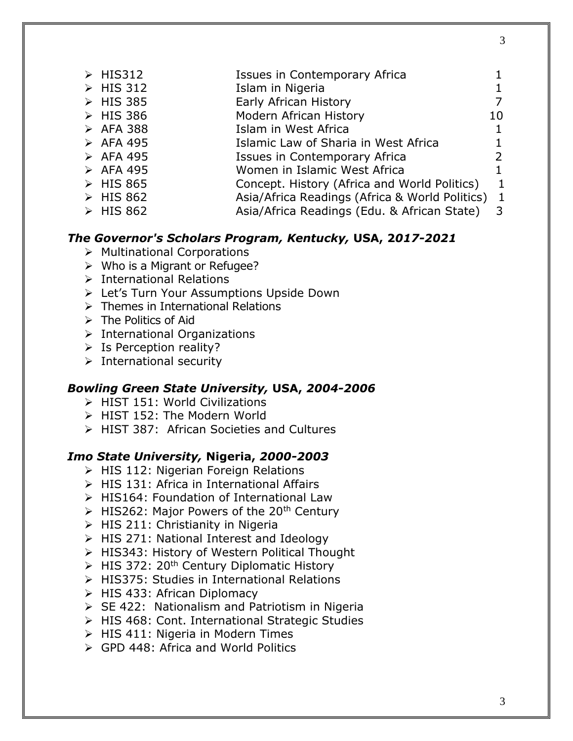| $\triangleright$ HIS312  | Issues in Contemporary Africa                    |                |
|--------------------------|--------------------------------------------------|----------------|
| $\triangleright$ HIS 312 | Islam in Nigeria                                 | 1              |
| $\triangleright$ HIS 385 | Early African History                            | 7              |
| $\triangleright$ HIS 386 | Modern African History                           | 10             |
| $\triangleright$ AFA 388 | Islam in West Africa                             | 1              |
| $\triangleright$ AFA 495 | Islamic Law of Sharia in West Africa             | 1              |
| $\triangleright$ AFA 495 | Issues in Contemporary Africa                    | $\overline{2}$ |
| $\triangleright$ AFA 495 | Women in Islamic West Africa                     | $\mathbf 1$    |
| $\triangleright$ HIS 865 | Concept. History (Africa and World Politics)     | $\mathbf{1}$   |
| $\triangleright$ HIS 862 | Asia/Africa Readings (Africa & World Politics) 1 |                |

➢ HIS 862 Asia/Africa Readings (Edu. & African State) 3

# *The Governor's Scholars Program, Kentucky,* **USA, 2***017-2021*

- ➢ Multinational Corporations
- ➢ Who is a Migrant or Refugee?
- ➢ International Relations
- ➢ Let's Turn Your Assumptions Upside Down
- ➢ Themes in International Relations
- ➢ The Politics of Aid
- ➢ International Organizations
- ➢ Is Perception reality?
- ➢ International security

#### *Bowling Green State University,* **USA,** *2004-2006*

- ➢ HIST 151: World Civilizations
- ➢ HIST 152: The Modern World
- ➢ HIST 387: African Societies and Cultures

#### *Imo State University,* **Nigeria,** *2000-2003*

- ➢ HIS 112: Nigerian Foreign Relations
- ➢ HIS 131: Africa in International Affairs
- ➢ HIS164: Foundation of International Law
- $\triangleright$  HIS262: Major Powers of the 20<sup>th</sup> Century
- $\triangleright$  HIS 211: Christianity in Nigeria
- ➢ HIS 271: National Interest and Ideology
- ➢ HIS343: History of Western Political Thought
- $\triangleright$  HIS 372: 20<sup>th</sup> Century Diplomatic History
- ➢ HIS375: Studies in International Relations
- ➢ HIS 433: African Diplomacy
- ➢ SE 422: Nationalism and Patriotism in Nigeria
- ➢ HIS 468: Cont. International Strategic Studies
- ➢ HIS 411: Nigeria in Modern Times
- ➢ GPD 448: Africa and World Politics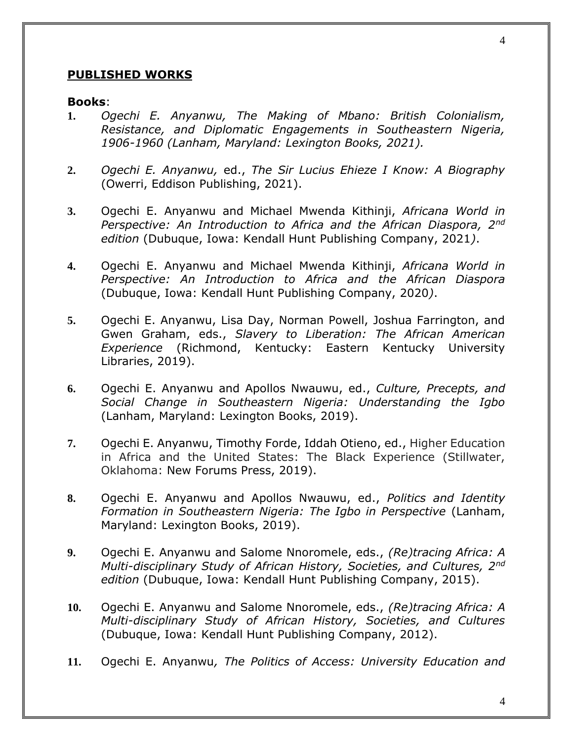#### **PUBLISHED WORKS**

#### **Books**:

- **1.** *Ogechi E. Anyanwu, The Making of Mbano: British Colonialism, Resistance, and Diplomatic Engagements in Southeastern Nigeria, 1906-1960 (Lanham, Maryland: Lexington Books, 2021).*
- **2.** *Ogechi E. Anyanwu,* ed., *The Sir Lucius Ehieze I Know: A Biography*  (Owerri, Eddison Publishing, 2021).
- **3.** Ogechi E. Anyanwu and Michael Mwenda Kithinji, *Africana World in Perspective: An Introduction to Africa and the African Diaspora, 2nd edition* (Dubuque, Iowa: Kendall Hunt Publishing Company, 2021*)*.
- **4.** Ogechi E. Anyanwu and Michael Mwenda Kithinji, *Africana World in Perspective: An Introduction to Africa and the African Diaspora* (Dubuque, Iowa: Kendall Hunt Publishing Company, 2020*)*.
- **5.** Ogechi E. Anyanwu, Lisa Day, Norman Powell, Joshua Farrington, and Gwen Graham, eds., *Slavery to Liberation: The African American Experience* (Richmond, Kentucky: Eastern Kentucky University Libraries, 2019).
- **6.** Ogechi E. Anyanwu and Apollos Nwauwu, ed., *Culture, Precepts, and Social Change in Southeastern Nigeria: Understanding the Igbo*  (Lanham, Maryland: Lexington Books, 2019).
- **7.** Ogechi E. Anyanwu, Timothy Forde, Iddah Otieno, ed., Higher Education in Africa and the United States: The Black Experience (Stillwater, Oklahoma: New Forums Press, 2019).
- **8.** Ogechi E. Anyanwu and Apollos Nwauwu, ed., *Politics and Identity Formation in Southeastern Nigeria: The Igbo in Perspective* (Lanham, Maryland: Lexington Books, 2019).
- **9.** Ogechi E. Anyanwu and Salome Nnoromele, eds., *(Re)tracing Africa: A Multi-disciplinary Study of African History, Societies, and Cultures, 2nd edition* (Dubuque, Iowa: Kendall Hunt Publishing Company, 2015).
- **10.** Ogechi E. Anyanwu and Salome Nnoromele, eds., *(Re)tracing Africa: A Multi-disciplinary Study of African History, Societies, and Cultures*  (Dubuque, Iowa: Kendall Hunt Publishing Company, 2012).
- **11.** Ogechi E. Anyanwu*, The Politics of Access: University Education and*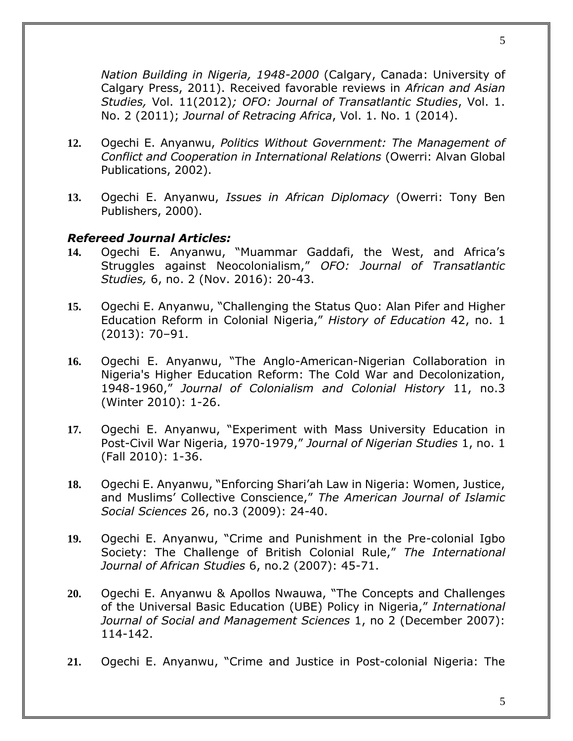*Nation Building in Nigeria, 1948-2000* (Calgary, Canada: University of Calgary Press, 2011). Received favorable reviews in *African and Asian Studies,* Vol. 11(2012)*; OFO: Journal of Transatlantic Studies*, Vol. 1. No. 2 (2011); *Journal of Retracing Africa*, Vol. 1. No. 1 (2014).

- **12.** Ogechi E. Anyanwu, *Politics Without Government: The Management of Conflict and Cooperation in International Relations* (Owerri: Alvan Global Publications, 2002).
- **13.** Ogechi E. Anyanwu, *Issues in African Diplomacy* (Owerri: Tony Ben Publishers, 2000).

#### *Refereed Journal Articles:*

- **14.** Ogechi E. Anyanwu, "Muammar Gaddafi, the West, and Africa's Struggles against Neocolonialism," *OFO: Journal of Transatlantic Studies,* 6, no. 2 (Nov. 2016): 20-43.
- **15.** Ogechi E. Anyanwu, "Challenging the Status Quo: Alan Pifer and Higher Education Reform in Colonial Nigeria," *History of Education* 42, no. 1 (2013): 70–91.
- **16.** Ogechi E. Anyanwu, "The Anglo-American-Nigerian Collaboration in Nigeria's Higher Education Reform: The Cold War and Decolonization, 1948-1960," *Journal of Colonialism and Colonial History* 11, no.3 (Winter 2010): 1-26.
- **17.** Ogechi E. Anyanwu, "Experiment with Mass University Education in Post-Civil War Nigeria, 1970-1979," *Journal of Nigerian Studies* 1, no. 1 (Fall 2010): 1-36.
- **18.** Ogechi E. Anyanwu, "Enforcing Shari'ah Law in Nigeria: Women, Justice, and Muslims' Collective Conscience," *The American Journal of Islamic Social Sciences* 26, no.3 (2009): 24-40.
- **19.** Ogechi E. Anyanwu, "Crime and Punishment in the Pre-colonial Igbo Society: The Challenge of British Colonial Rule," *The International Journal of African Studies* 6, no.2 (2007): 45-71.
- **20.** Ogechi E. Anyanwu & Apollos Nwauwa, "The Concepts and Challenges of the Universal Basic Education (UBE) Policy in Nigeria," *International Journal of Social and Management Sciences* 1, no 2 (December 2007): 114-142.
- **21.** Ogechi E. Anyanwu, "Crime and Justice in Post-colonial Nigeria: The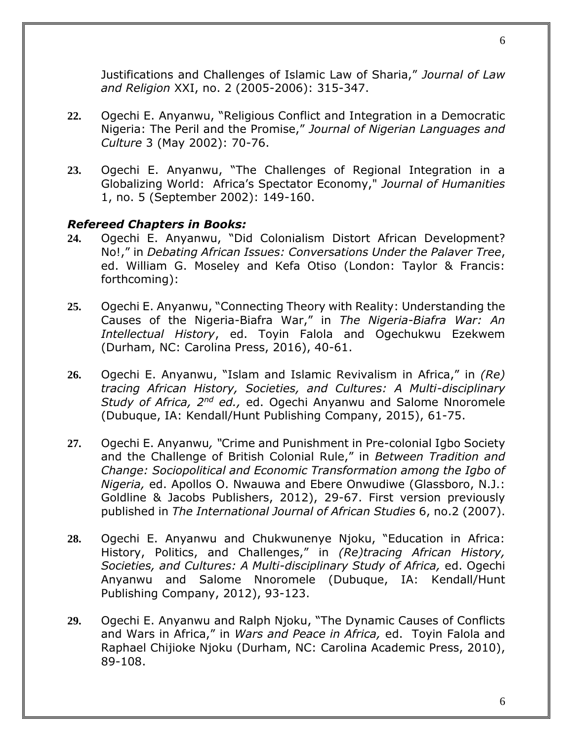Justifications and Challenges of Islamic Law of Sharia," *Journal of Law and Religion* XXI, no. 2 (2005-2006): 315-347.

- **22.** Ogechi E. Anyanwu, "Religious Conflict and Integration in a Democratic Nigeria: The Peril and the Promise," *Journal of Nigerian Languages and Culture* 3 (May 2002): 70-76.
- **23.** Ogechi E. Anyanwu, "The Challenges of Regional Integration in a Globalizing World: Africa's Spectator Economy," *Journal of Humanities* 1, no. 5 (September 2002): 149-160.

#### *Refereed Chapters in Books:*

- **24.** Ogechi E. Anyanwu, "Did Colonialism Distort African Development? No!," in *Debating African Issues: Conversations Under the Palaver Tree*, ed. William G. Moseley and Kefa Otiso (London: Taylor & Francis: forthcoming):
- **25.** Ogechi E. Anyanwu, "Connecting Theory with Reality: Understanding the Causes of the Nigeria-Biafra War," in *The Nigeria-Biafra War: An Intellectual History*, ed. Toyin Falola and Ogechukwu Ezekwem (Durham, NC: Carolina Press, 2016), 40-61.
- **26.** Ogechi E. Anyanwu, "Islam and Islamic Revivalism in Africa," in *(Re) tracing African History, Societies, and Cultures: A Multi-disciplinary Study of Africa, 2nd ed.,* ed. Ogechi Anyanwu and Salome Nnoromele (Dubuque, IA: Kendall/Hunt Publishing Company, 2015), 61-75.
- **27.** Ogechi E. Anyanwu*, "*Crime and Punishment in Pre-colonial Igbo Society and the Challenge of British Colonial Rule," in *Between Tradition and Change: Sociopolitical and Economic Transformation among the Igbo of Nigeria,* ed. Apollos O. Nwauwa and Ebere Onwudiwe (Glassboro, N.J.: Goldline & Jacobs Publishers, 2012), 29-67. First version previously published in *The International Journal of African Studies* 6, no.2 (2007).
- **28.** Ogechi E. Anyanwu and Chukwunenye Njoku, "Education in Africa: History, Politics, and Challenges," in *(Re)tracing African History, Societies, and Cultures: A Multi-disciplinary Study of Africa,* ed. Ogechi Anyanwu and Salome Nnoromele (Dubuque, IA: Kendall/Hunt Publishing Company, 2012), 93-123.
- **29.** Ogechi E. Anyanwu and Ralph Njoku, "The Dynamic Causes of Conflicts and Wars in Africa," in *Wars and Peace in Africa,* ed. Toyin Falola and Raphael Chijioke Njoku (Durham, NC: Carolina Academic Press, 2010), 89-108.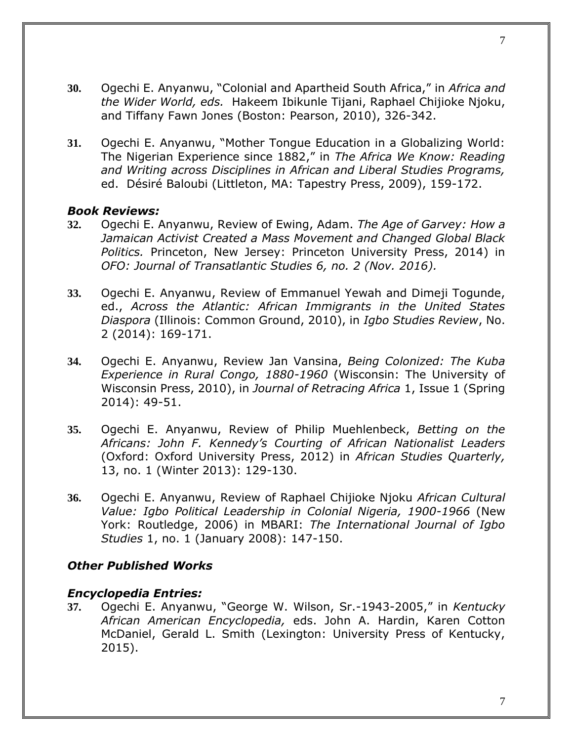- **30.** Ogechi E. Anyanwu, "Colonial and Apartheid South Africa," in *Africa and the Wider World, eds.* Hakeem Ibikunle Tijani, Raphael Chijioke Njoku, and Tiffany Fawn Jones (Boston: Pearson, 2010), 326-342.
- **31.** Ogechi E. Anyanwu, "Mother Tongue Education in a Globalizing World: The Nigerian Experience since 1882," in *The Africa We Know: Reading and Writing across Disciplines in African and Liberal Studies Programs,*  ed. Désiré Baloubi (Littleton, MA: Tapestry Press, 2009), 159-172.

#### *Book Reviews:*

- **32.** Ogechi E. Anyanwu, Review of Ewing, Adam. *The Age of Garvey: How a Jamaican Activist Created a Mass Movement and Changed Global Black Politics.* Princeton, New Jersey: Princeton University Press, 2014) in *OFO: Journal of Transatlantic Studies 6, no. 2 (Nov. 2016).*
- **33.** Ogechi E. Anyanwu, Review of Emmanuel Yewah and Dimeji Togunde, ed., *Across the Atlantic: African Immigrants in the United States Diaspora* (Illinois: Common Ground, 2010), in *Igbo Studies Review*, No. 2 (2014): 169-171.
- **34.** Ogechi E. Anyanwu, Review Jan Vansina, *Being Colonized: The Kuba Experience in Rural Congo, 1880-1960* (Wisconsin: The University of Wisconsin Press, 2010), in *Journal of Retracing Africa* 1, Issue 1 (Spring 2014): 49-51.
- **35.** Ogechi E. Anyanwu, Review of Philip Muehlenbeck, *Betting on the Africans: John F. Kennedy's Courting of African Nationalist Leaders*  (Oxford: Oxford University Press, 2012) in *African Studies Quarterly,*  13, no. 1 (Winter 2013): 129-130.
- **36.** Ogechi E. Anyanwu, Review of Raphael Chijioke Njoku *African Cultural Value: Igbo Political Leadership in Colonial Nigeria, 1900-1966* (New York: Routledge, 2006) in MBARI: *The International Journal of Igbo Studies* 1, no. 1 (January 2008): 147-150.

#### *Other Published Works*

#### *Encyclopedia Entries:*

**37.** Ogechi E. Anyanwu, "George W. Wilson, Sr.-1943-2005," in *Kentucky African American Encyclopedia,* eds. John A. Hardin, Karen Cotton McDaniel, Gerald L. Smith (Lexington: University Press of Kentucky, 2015).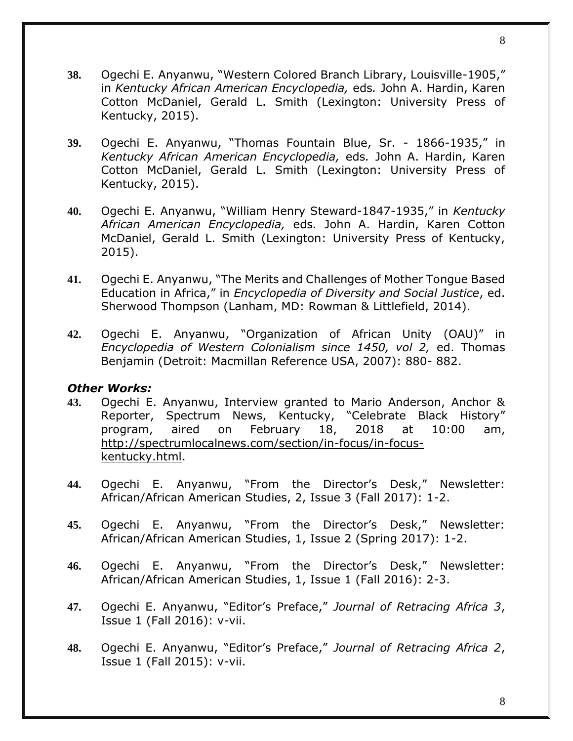- **38.** Ogechi E. Anyanwu, "[Western Colored Branch Library, Louisville-1905](https://www.uky.edu/OtherOrgs/kaae/topsub/entry.php?ent=999)," in *Kentucky African American Encyclopedia,* eds*.* John A. Hardin, Karen Cotton McDaniel, Gerald L. Smith (Lexington: University Press of Kentucky, 2015).
- **39.** Ogechi E. Anyanwu, "Thomas Fountain Blue, Sr. 1866-1935," in *Kentucky African American Encyclopedia,* eds*.* John A. Hardin, Karen Cotton McDaniel, Gerald L. Smith (Lexington: University Press of Kentucky, 2015).
- **40.** Ogechi E. Anyanwu, "William Henry Steward-1847-1935," in *Kentucky African American Encyclopedia,* eds*.* John A. Hardin, Karen Cotton McDaniel, Gerald L. Smith (Lexington: University Press of Kentucky, 2015).
- **41.** Ogechi E. Anyanwu, "The Merits and Challenges of Mother Tongue Based Education in Africa," in *Encyclopedia of Diversity and Social Justice*, ed. Sherwood Thompson (Lanham, MD: Rowman & Littlefield, 2014).
- **42.** Ogechi E. Anyanwu, "Organization of African Unity (OAU)" in *Encyclopedia of Western Colonialism since 1450, vol 2,* ed. Thomas Benjamin (Detroit: Macmillan Reference USA, 2007): 880- 882.

#### *Other Works:*

- **43.** Ogechi E. Anyanwu, Interview granted to Mario Anderson, Anchor & Reporter, Spectrum News, Kentucky, "Celebrate Black History" program, aired on February 18, 2018 at 10:00 am, [http://spectrumlocalnews.com/section/in-focus/in-focus](http://spectrumlocalnews.com/section/in-focus/in-focus-kentucky.html)[kentucky.html.](http://spectrumlocalnews.com/section/in-focus/in-focus-kentucky.html)
- **44.** Ogechi E. Anyanwu, "From the Director's Desk," Newsletter: African/African American Studies, 2, Issue 3 (Fall 2017): 1-2.
- **45.** Ogechi E. Anyanwu, "From the Director's Desk," Newsletter: African/African American Studies, 1, Issue 2 (Spring 2017): 1-2.
- **46.** Ogechi E. Anyanwu, "From the Director's Desk," Newsletter: African/African American Studies, 1, Issue 1 (Fall 2016): 2-3.
- **47.** Ogechi E. Anyanwu, "Editor's Preface," *Journal of Retracing Africa 3*, Issue 1 (Fall 2016): v-vii.
- **48.** Ogechi E. Anyanwu, "Editor's Preface," *Journal of Retracing Africa 2*, Issue 1 (Fall 2015): v-vii.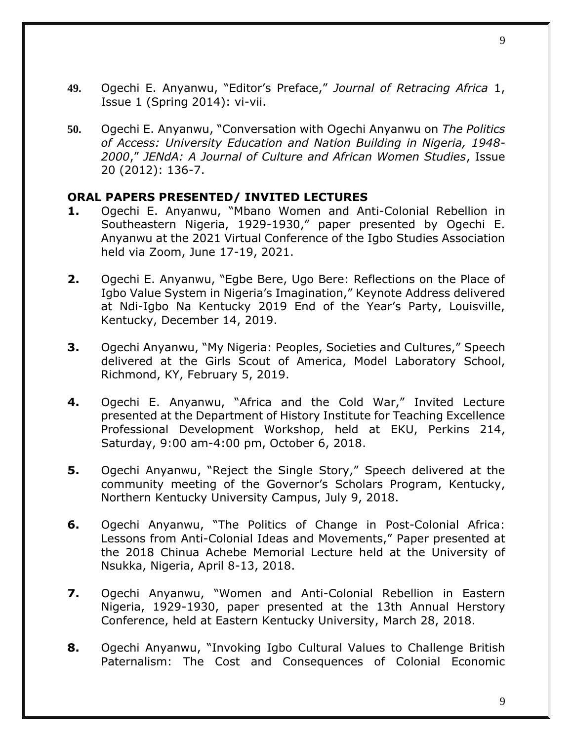- **49.** Ogechi E. Anyanwu, "Editor's Preface," *Journal of Retracing Africa* 1, Issue 1 (Spring 2014): vi-vii.
- **50.** Ogechi E. Anyanwu, "Conversation with Ogechi Anyanwu on *The Politics of Access: University Education and Nation Building in Nigeria, 1948- 2000*," *JENdA: A Journal of Culture and African Women Studies*, Issue 20 (2012): 136-7.

#### **ORAL PAPERS PRESENTED/ INVITED LECTURES**

- **1.** Ogechi E. Anyanwu, "Mbano Women and Anti-Colonial Rebellion in Southeastern Nigeria, 1929-1930," paper presented by Ogechi E. Anyanwu at the 2021 Virtual Conference of the Igbo Studies Association held via Zoom, June 17-19, 2021.
- **2.** Ogechi E. Anyanwu, "Egbe Bere, Ugo Bere: Reflections on the Place of Igbo Value System in Nigeria's Imagination," Keynote Address delivered at Ndi-Igbo Na Kentucky 2019 End of the Year's Party, Louisville, Kentucky, December 14, 2019.
- **3.** Ogechi Anyanwu, "My Nigeria: Peoples, Societies and Cultures," Speech delivered at the Girls Scout of America, Model Laboratory School, Richmond, KY, February 5, 2019.
- **4.** Ogechi E. Anyanwu, "Africa and the Cold War," Invited Lecture presented at the Department of History Institute for Teaching Excellence Professional Development Workshop, held at EKU, Perkins 214, Saturday, 9:00 am-4:00 pm, October 6, 2018.
- **5.** Ogechi Anyanwu, "Reject the Single Story," Speech delivered at the community meeting of the Governor's Scholars Program, Kentucky, Northern Kentucky University Campus, July 9, 2018.
- **6.** Ogechi Anyanwu, "The Politics of Change in Post-Colonial Africa: Lessons from Anti-Colonial Ideas and Movements," Paper presented at the 2018 Chinua Achebe Memorial Lecture held at the University of Nsukka, Nigeria, April 8-13, 2018.
- **7.** Ogechi Anyanwu, "Women and Anti-Colonial Rebellion in Eastern Nigeria, 1929-1930, paper presented at the 13th Annual Herstory Conference, held at Eastern Kentucky University, March 28, 2018.
- **8.** Ogechi Anyanwu, "Invoking Igbo Cultural Values to Challenge British Paternalism: The Cost and Consequences of Colonial Economic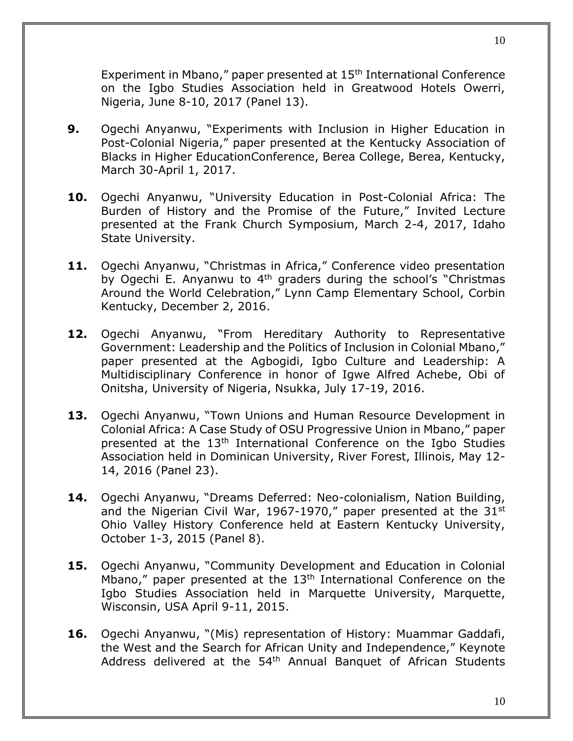Experiment in Mbano," paper presented at 15<sup>th</sup> International Conference on the Igbo Studies Association held in Greatwood Hotels Owerri, Nigeria, June 8-10, 2017 (Panel 13).

- **9.** Ogechi Anyanwu, "Experiments with Inclusion in Higher Education in Post-Colonial Nigeria," paper presented at the Kentucky Association of Blacks in Higher EducationConference, Berea College, Berea, Kentucky, March 30-April 1, 2017.
- **10.** Ogechi Anyanwu, "University Education in Post-Colonial Africa: The Burden of History and the Promise of the Future," Invited Lecture presented at the Frank Church Symposium, March 2-4, 2017, Idaho State University.
- 11. Ogechi Anyanwu, "Christmas in Africa," Conference video presentation by Ogechi E. Anyanwu to  $4<sup>th</sup>$  graders during the school's "Christmas Around the World Celebration," Lynn Camp Elementary School, Corbin Kentucky, December 2, 2016.
- **12.** Ogechi Anyanwu, "From Hereditary Authority to Representative Government: Leadership and the Politics of Inclusion in Colonial Mbano," paper presented at the Agbogidi, Igbo Culture and Leadership: A Multidisciplinary Conference in honor of Igwe Alfred Achebe, Obi of Onitsha, University of Nigeria, Nsukka, July 17-19, 2016.
- **13.** Ogechi Anyanwu, "Town Unions and Human Resource Development in Colonial Africa: A Case Study of OSU Progressive Union in Mbano," paper presented at the 13th International Conference on the Igbo Studies Association held in Dominican University, River Forest, Illinois, May 12- 14, 2016 (Panel 23).
- **14.** Ogechi Anyanwu, "Dreams Deferred: Neo-colonialism, Nation Building, and the Nigerian Civil War, 1967-1970," paper presented at the 31st Ohio Valley History Conference held at Eastern Kentucky University, October 1-3, 2015 (Panel 8).
- **15.** Ogechi Anyanwu, "Community Development and Education in Colonial Mbano," paper presented at the  $13<sup>th</sup>$  International Conference on the Igbo Studies Association held in Marquette University, Marquette, Wisconsin, USA April 9-11, 2015.
- **16.** Ogechi Anyanwu, "(Mis) representation of History: Muammar Gaddafi, the West and the Search for African Unity and Independence," Keynote Address delivered at the 54<sup>th</sup> Annual Banquet of African Students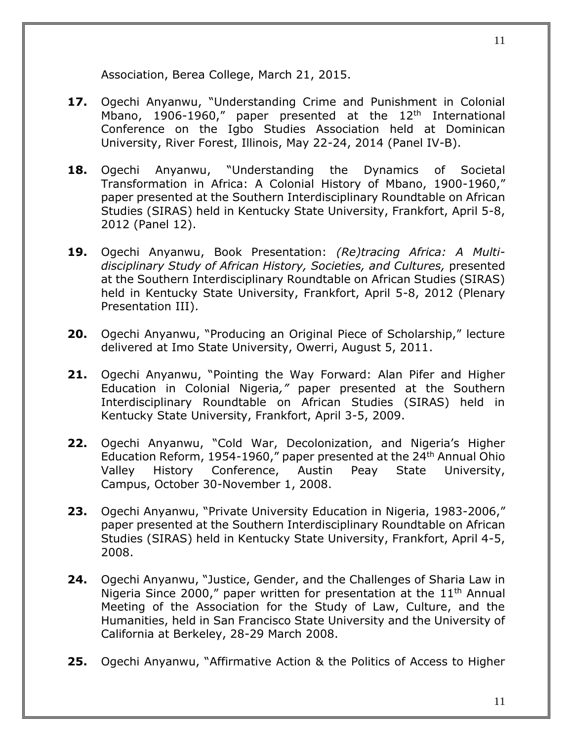Association, Berea College, March 21, 2015.

- **17.** Ogechi Anyanwu, "Understanding Crime and Punishment in Colonial Mbano, 1906-1960," paper presented at the  $12<sup>th</sup>$  International Conference on the Igbo Studies Association held at Dominican University, River Forest, Illinois, May 22-24, 2014 (Panel IV-B).
- **18.** Ogechi Anyanwu, "Understanding the Dynamics of Societal Transformation in Africa: A Colonial History of Mbano, 1900-1960," paper presented at the Southern Interdisciplinary Roundtable on African Studies (SIRAS) held in Kentucky State University, Frankfort, April 5-8, 2012 (Panel 12).
- **19.** Ogechi Anyanwu, Book Presentation: *(Re)tracing Africa: A Multidisciplinary Study of African History, Societies, and Cultures,* presented at the Southern Interdisciplinary Roundtable on African Studies (SIRAS) held in Kentucky State University, Frankfort, April 5-8, 2012 (Plenary Presentation III).
- **20.** Ogechi Anyanwu, "Producing an Original Piece of Scholarship," lecture delivered at Imo State University, Owerri, August 5, 2011.
- **21.** Ogechi Anyanwu, "Pointing the Way Forward: Alan Pifer and Higher Education in Colonial Nigeria*,"* paper presented at the Southern Interdisciplinary Roundtable on African Studies (SIRAS) held in Kentucky State University, Frankfort, April 3-5, 2009.
- **22.** Ogechi Anyanwu, "Cold War, Decolonization, and Nigeria's Higher Education Reform, 1954-1960," paper presented at the 24<sup>th</sup> Annual Ohio Valley History Conference, Austin Peay State University, Campus, October 30-November 1, 2008.
- **23.** Ogechi Anyanwu, "Private University Education in Nigeria, 1983-2006," paper presented at the Southern Interdisciplinary Roundtable on African Studies (SIRAS) held in Kentucky State University, Frankfort, April 4-5, 2008.
- **24.** Ogechi Anyanwu, "Justice, Gender, and the Challenges of Sharia Law in Nigeria Since 2000," paper written for presentation at the  $11<sup>th</sup>$  Annual Meeting of the Association for the Study of Law, Culture, and the Humanities, held in San Francisco State University and the University of California at Berkeley, 28-29 March 2008.
- **25.** Ogechi Anyanwu, "Affirmative Action & the Politics of Access to Higher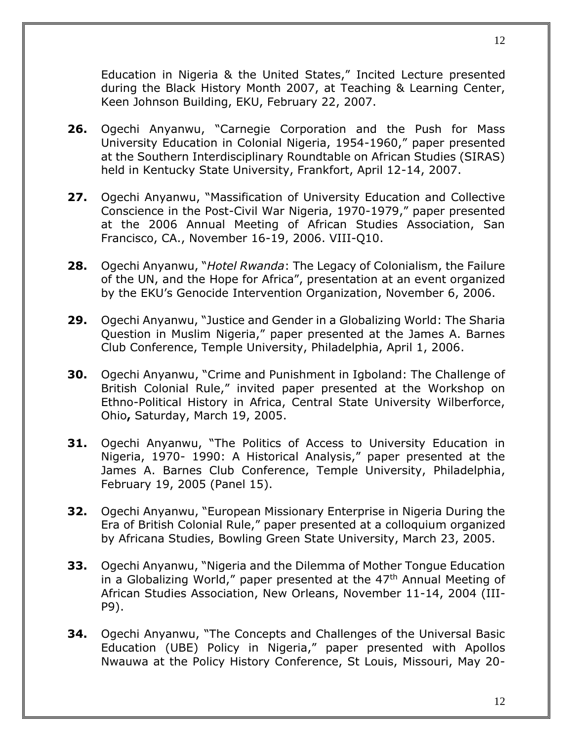Education in Nigeria & the United States," Incited Lecture presented during the Black History Month 2007, at Teaching & Learning Center, Keen Johnson Building, EKU, February 22, 2007.

- **26.** Ogechi Anyanwu, "Carnegie Corporation and the Push for Mass University Education in Colonial Nigeria, 1954-1960," paper presented at the Southern Interdisciplinary Roundtable on African Studies (SIRAS) held in Kentucky State University, Frankfort, April 12-14, 2007.
- **27.** Ogechi Anyanwu, "Massification of University Education and Collective Conscience in the Post-Civil War Nigeria, 1970-1979," paper presented at the 2006 Annual Meeting of African Studies Association, San Francisco, CA., November 16-19, 2006. VIII-Q10.
- **28.** Ogechi Anyanwu, "*Hotel Rwanda*: The Legacy of Colonialism, the Failure of the UN, and the Hope for Africa", presentation at an event organized by the EKU's Genocide Intervention Organization, November 6, 2006.
- **29.** Ogechi Anyanwu, "Justice and Gender in a Globalizing World: The Sharia Question in Muslim Nigeria," paper presented at the James A. Barnes Club Conference, Temple University, Philadelphia, April 1, 2006.
- **30.** Ogechi Anyanwu, "Crime and Punishment in Igboland: The Challenge of British Colonial Rule," invited paper presented at the Workshop on Ethno-Political History in Africa, Central State University Wilberforce, Ohio**,** Saturday, March 19, 2005.
- **31.** Ogechi Anyanwu, "The Politics of Access to University Education in Nigeria, 1970- 1990: A Historical Analysis," paper presented at the James A. Barnes Club Conference, Temple University, Philadelphia, February 19, 2005 (Panel 15).
- **32.** Ogechi Anyanwu, "European Missionary Enterprise in Nigeria During the Era of British Colonial Rule," paper presented at a colloquium organized by Africana Studies, Bowling Green State University, March 23, 2005.
- **33.** Ogechi Anyanwu, "Nigeria and the Dilemma of Mother Tongue Education in a Globalizing World," paper presented at the 47<sup>th</sup> Annual Meeting of African Studies Association, New Orleans, November 11-14, 2004 (III-P9).
- **34.** Ogechi Anyanwu, "The Concepts and Challenges of the Universal Basic Education (UBE) Policy in Nigeria," paper presented with Apollos Nwauwa at the Policy History Conference, St Louis, Missouri, May 20-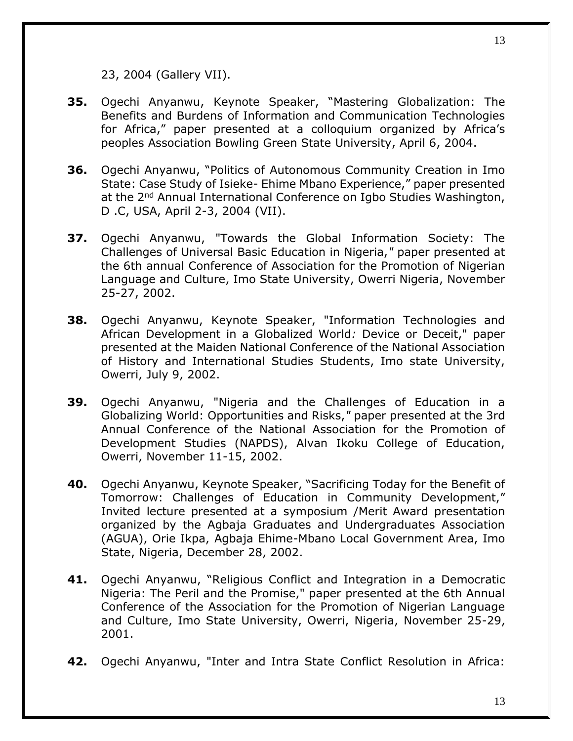- **35.** Ogechi Anyanwu, Keynote Speaker, "Mastering Globalization: The Benefits and Burdens of Information and Communication Technologies for Africa," paper presented at a colloquium organized by Africa's peoples Association Bowling Green State University, April 6, 2004.
- **36.** Ogechi Anyanwu, "Politics of Autonomous Community Creation in Imo State: Case Study of Isieke- Ehime Mbano Experience," paper presented at the 2<sup>nd</sup> Annual International Conference on Igbo Studies Washington, D .C, USA, April 2-3, 2004 (VII).
- **37.** Ogechi Anyanwu, "Towards the Global Information Society: The Challenges of Universal Basic Education in Nigeria,*"* paper presented at the 6th annual Conference of Association for the Promotion of Nigerian Language and Culture, Imo State University, Owerri Nigeria, November 25-27, 2002.
- **38.** Ogechi Anyanwu, Keynote Speaker, "Information Technologies and African Development in a Globalized World*:* Device or Deceit," paper presented at the Maiden National Conference of the National Association of History and International Studies Students, Imo state University, Owerri, July 9, 2002.
- **39.** Ogechi Anyanwu, "Nigeria and the Challenges of Education in a Globalizing World: Opportunities and Risks,*"* paper presented at the 3rd Annual Conference of the National Association for the Promotion of Development Studies (NAPDS), Alvan Ikoku College of Education, Owerri, November 11-15, 2002.
- **40.** Ogechi Anyanwu, Keynote Speaker, "Sacrificing Today for the Benefit of Tomorrow: Challenges of Education in Community Development," Invited lecture presented at a symposium /Merit Award presentation organized by the Agbaja Graduates and Undergraduates Association (AGUA), Orie Ikpa, Agbaja Ehime-Mbano Local Government Area, Imo State, Nigeria, December 28, 2002.
- **41.** Ogechi Anyanwu, "Religious Conflict and Integration in a Democratic Nigeria: The Peril and the Promise," paper presented at the 6th Annual Conference of the Association for the Promotion of Nigerian Language and Culture, Imo State University, Owerri, Nigeria, November 25-29, 2001.
- **42.** Ogechi Anyanwu, "Inter and Intra State Conflict Resolution in Africa: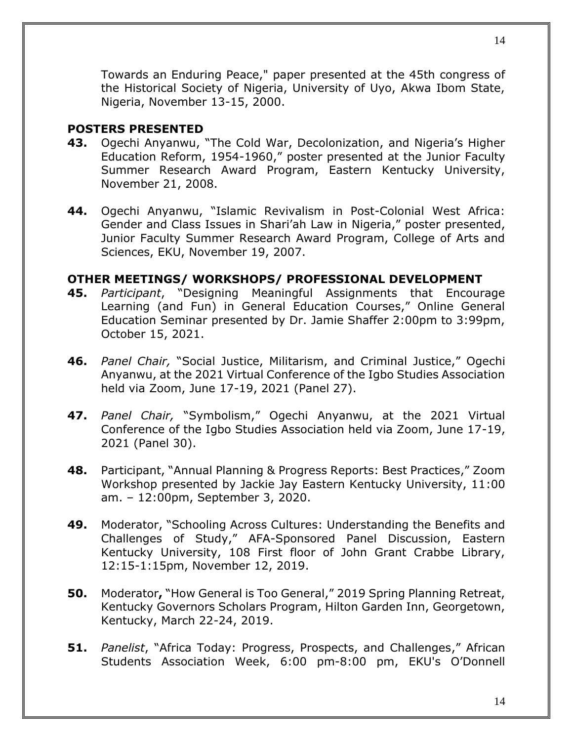Towards an Enduring Peace," paper presented at the 45th congress of the Historical Society of Nigeria, University of Uyo, Akwa Ibom State, Nigeria, November 13-15, 2000.

#### **POSTERS PRESENTED**

- **43.** Ogechi Anyanwu, "The Cold War, Decolonization, and Nigeria's Higher Education Reform, 1954-1960," poster presented at the Junior Faculty Summer Research Award Program, Eastern Kentucky University, November 21, 2008.
- **44.** Ogechi Anyanwu, "Islamic Revivalism in Post-Colonial West Africa: Gender and Class Issues in Shari'ah Law in Nigeria," poster presented, Junior Faculty Summer Research Award Program, College of Arts and Sciences, EKU, November 19, 2007.

#### **OTHER MEETINGS/ WORKSHOPS/ PROFESSIONAL DEVELOPMENT**

- **45.** *Participant*, "Designing Meaningful Assignments that Encourage Learning (and Fun) in General Education Courses," Online General Education Seminar presented by Dr. Jamie Shaffer 2:00pm to 3:99pm, October 15, 2021.
- **46.** *Panel Chair,* "Social Justice, Militarism, and Criminal Justice," Ogechi Anyanwu, at the 2021 Virtual Conference of the Igbo Studies Association held via Zoom, June 17-19, 2021 (Panel 27).
- **47.** *Panel Chair,* "Symbolism," Ogechi Anyanwu, at the 2021 Virtual Conference of the Igbo Studies Association held via Zoom, June 17-19, 2021 (Panel 30).
- **48.** Participant, "Annual Planning & Progress Reports: Best Practices," Zoom Workshop presented by Jackie Jay Eastern Kentucky University, 11:00 am. – 12:00pm, September 3, 2020.
- **49.** Moderator, "Schooling Across Cultures: Understanding the Benefits and Challenges of Study," AFA-Sponsored Panel Discussion, Eastern Kentucky University, 108 First floor of John Grant Crabbe Library, 12:15-1:15pm, November 12, 2019.
- **50.** Moderator**,** "How General is Too General," 2019 Spring Planning Retreat, Kentucky Governors Scholars Program, Hilton Garden Inn, Georgetown, Kentucky, March 22-24, 2019.
- **51.** *Panelist*, "Africa Today: Progress, Prospects, and Challenges," African Students Association Week, 6:00 pm-8:00 pm, EKU's O'Donnell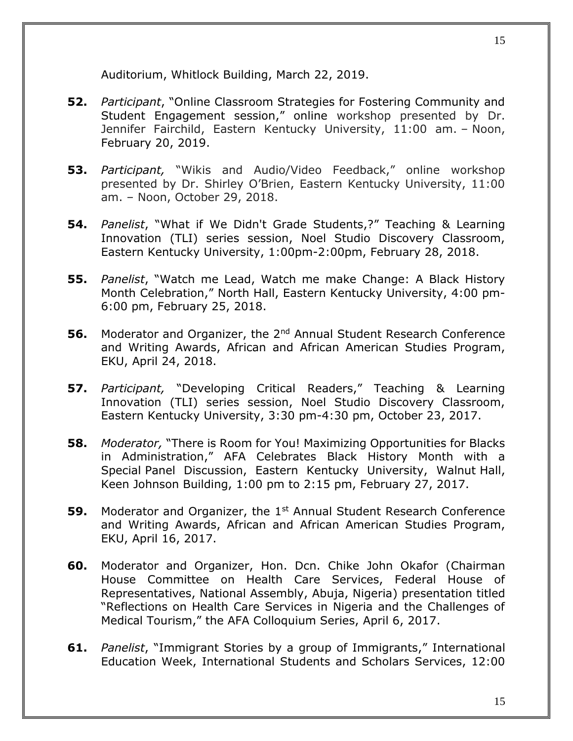Auditorium, Whitlock Building, March 22, 2019.

- **52.** *Participant*, "Online Classroom Strategies for Fostering Community and Student Engagement session," online workshop presented by Dr. Jennifer Fairchild, Eastern Kentucky University, 11:00 am. – Noon, February 20, 2019.
- **53.** *Participant,* "Wikis and Audio/Video Feedback," online workshop presented by Dr. Shirley O'Brien, Eastern Kentucky University, 11:00 am. – Noon, October 29, 2018.
- **54.** *Panelist*, "What if We Didn't Grade Students,?" Teaching & Learning Innovation (TLI) series session, Noel Studio Discovery Classroom, Eastern Kentucky University, 1:00pm-2:00pm, February 28, 2018.
- **55.** *Panelist*, "Watch me Lead, Watch me make Change: A Black History Month Celebration," North Hall, Eastern Kentucky University, 4:00 pm-6:00 pm, February 25, 2018.
- **56.** Moderator and Organizer, the 2<sup>nd</sup> Annual Student Research Conference and Writing Awards, African and African American Studies Program, EKU, April 24, 2018.
- **57.** *Participant,* "Developing Critical Readers," Teaching & Learning Innovation (TLI) series session, Noel Studio Discovery Classroom, Eastern Kentucky University, 3:30 pm-4:30 pm, October 23, 2017.
- **58.** *Moderator,* "There is Room for You! Maximizing Opportunities for Blacks in Administration," AFA Celebrates Black History Month with a Special Panel Discussion, Eastern Kentucky University, Walnut Hall, Keen Johnson Building, 1:00 pm to 2:15 pm, February 27, 2017.
- **59.** Moderator and Organizer, the 1<sup>st</sup> Annual Student Research Conference and Writing Awards, African and African American Studies Program, EKU, April 16, 2017.
- **60.** Moderator and Organizer, Hon. Dcn. Chike John Okafor (Chairman House Committee on Health Care Services, Federal House of Representatives, National Assembly, Abuja, Nigeria) presentation titled "Reflections on Health Care Services in Nigeria and the Challenges of Medical Tourism," the AFA Colloquium Series, April 6, 2017.
- **61.** *Panelist*, "Immigrant Stories by a group of Immigrants," International Education Week, International Students and Scholars Services, 12:00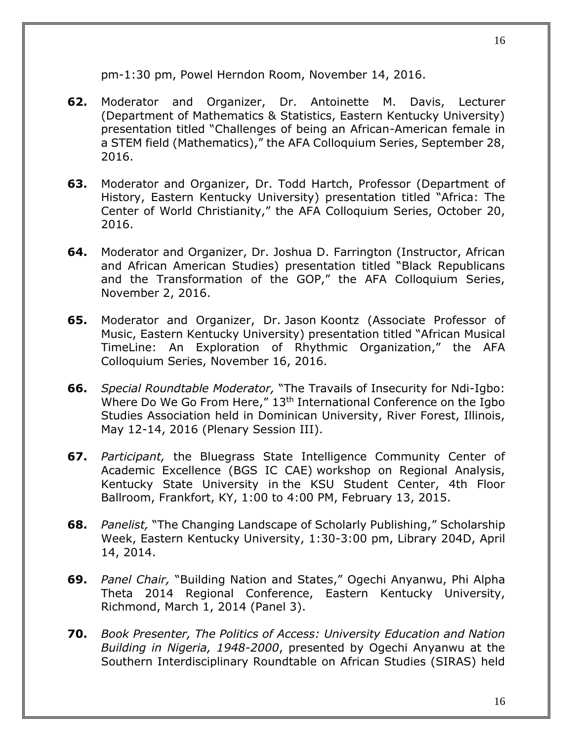pm-1:30 pm, Powel Herndon Room, November 14, 2016.

- **62.** Moderator and Organizer, Dr. Antoinette M. Davis, Lecturer (Department of Mathematics & Statistics, Eastern Kentucky University) presentation titled "Challenges of being an African-American female in a STEM field (Mathematics)," the AFA Colloquium Series, September 28, 2016.
- **63.** Moderator and Organizer, Dr. Todd Hartch, Professor (Department of History, Eastern Kentucky University) presentation titled "Africa: The Center of World Christianity," the AFA Colloquium Series, October 20, 2016.
- **64.** Moderator and Organizer, Dr. Joshua D. Farrington (Instructor, African and African American Studies) presentation titled "Black Republicans and the Transformation of the GOP," the AFA Colloquium Series, November 2, 2016.
- **65.** Moderator and Organizer, Dr. Jason Koontz (Associate Professor of Music, Eastern Kentucky University) presentation titled "African Musical TimeLine: An Exploration of Rhythmic Organization," the AFA Colloquium Series, November 16, 2016.
- **66.** *Special Roundtable Moderator,* "The Travails of Insecurity for Ndi-Igbo: Where Do We Go From Here," 13<sup>th</sup> International Conference on the Igbo Studies Association held in Dominican University, River Forest, Illinois, May 12-14, 2016 (Plenary Session III).
- **67.** *Participant,* the Bluegrass State Intelligence Community Center of Academic Excellence (BGS IC CAE) workshop on Regional Analysis, Kentucky State University in the KSU Student Center, 4th Floor Ballroom, Frankfort, KY, 1:00 to 4:00 PM, February 13, 2015.
- **68.** *Panelist,* "The Changing Landscape of Scholarly Publishing," Scholarship Week, Eastern Kentucky University, 1:30-3:00 pm, Library 204D, April 14, 2014.
- **69.** *Panel Chair,* "Building Nation and States," Ogechi Anyanwu, Phi Alpha Theta 2014 Regional Conference, Eastern Kentucky University, Richmond, March 1, 2014 (Panel 3).
- **70.** *Book Presenter, The Politics of Access: University Education and Nation Building in Nigeria, 1948-2000*, presented by Ogechi Anyanwu at the Southern Interdisciplinary Roundtable on African Studies (SIRAS) held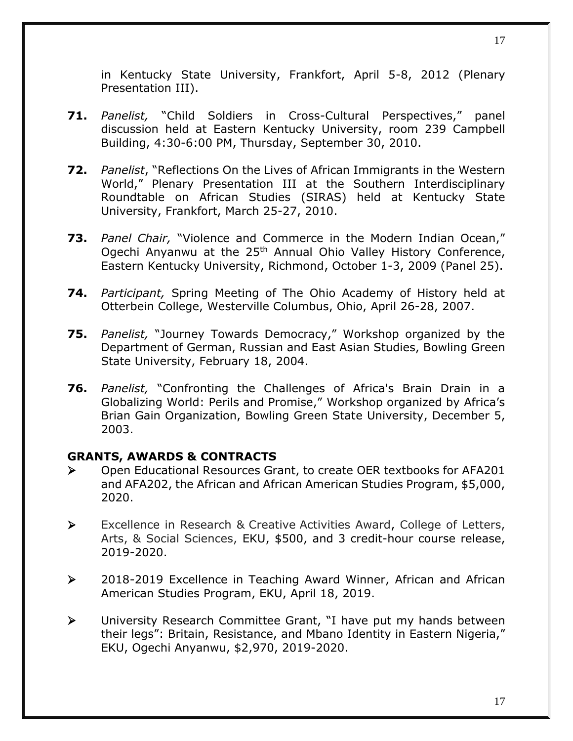in Kentucky State University, Frankfort, April 5-8, 2012 (Plenary Presentation III).

- **71.** *Panelist,* "Child Soldiers in Cross-Cultural Perspectives," panel discussion held at Eastern Kentucky University, room 239 Campbell Building, 4:30-6:00 PM, Thursday, September 30, 2010.
- **72.** *Panelist*, "Reflections On the Lives of African Immigrants in the Western World," Plenary Presentation III at the Southern Interdisciplinary Roundtable on African Studies (SIRAS) held at Kentucky State University, Frankfort, March 25-27, 2010.
- **73.** *Panel Chair,* "Violence and Commerce in the Modern Indian Ocean," Ogechi Anyanwu at the 25<sup>th</sup> Annual Ohio Valley History Conference, Eastern Kentucky University, Richmond, October 1-3, 2009 (Panel 25).
- **74.** *Participant,* Spring Meeting of The Ohio Academy of History held at Otterbein College, Westerville Columbus, Ohio, April 26-28, 2007.
- **75.** *Panelist,* "Journey Towards Democracy," Workshop organized by the Department of German, Russian and East Asian Studies, Bowling Green State University, February 18, 2004.
- **76.** *Panelist,* "Confronting the Challenges of Africa's Brain Drain in a Globalizing World: Perils and Promise," Workshop organized by Africa's Brian Gain Organization, Bowling Green State University, December 5, 2003.

## **GRANTS, AWARDS & CONTRACTS**

- ➢ Open Educational Resources Grant, to create OER textbooks for AFA201 and AFA202, the African and African American Studies Program, \$5,000, 2020.
- ➢ Excellence in Research & Creative Activities Award, College of Letters, Arts, & Social Sciences, EKU, \$500, and 3 credit-hour course release, 2019-2020.
- ➢ 2018-2019 Excellence in Teaching Award Winner, African and African American Studies Program, EKU, April 18, 2019.
- ➢ University Research Committee Grant, "I have put my hands between their legs": Britain, Resistance, and Mbano Identity in Eastern Nigeria," EKU, Ogechi Anyanwu, \$2,970, 2019-2020.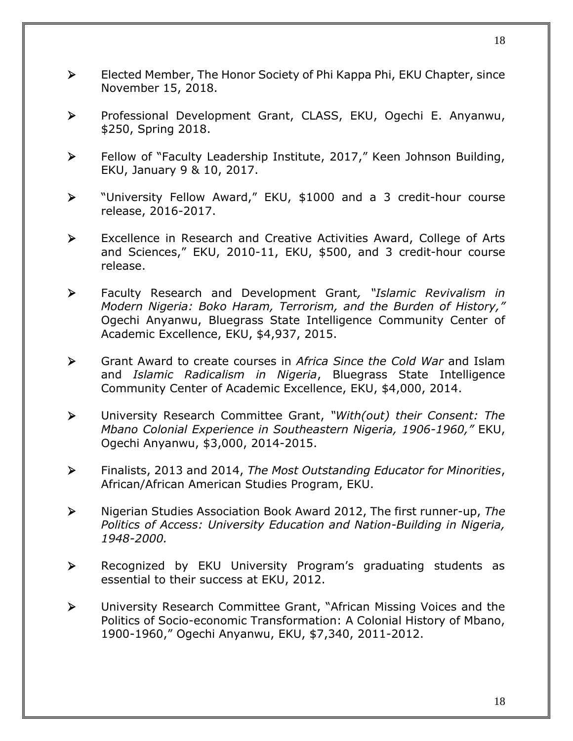- ➢ Elected Member, The Honor Society of Phi Kappa Phi, EKU Chapter, since November 15, 2018.
- ➢ Professional Development Grant, CLASS, EKU, Ogechi E. Anyanwu, \$250, Spring 2018.
- ➢ Fellow of "Faculty Leadership Institute, 2017," Keen Johnson Building, EKU, January 9 & 10, 2017.
- ➢ "University Fellow Award," EKU, \$1000 and a 3 credit-hour course release, 2016-2017.
- ➢ Excellence in Research and Creative Activities Award, College of Arts and Sciences," EKU, 2010-11, EKU, \$500, and 3 credit-hour course release.
- ➢ Faculty Research and Development Grant*, "Islamic Revivalism in Modern Nigeria: Boko Haram, Terrorism, and the Burden of History,"* Ogechi Anyanwu, Bluegrass State Intelligence Community Center of Academic Excellence, EKU, \$4,937, 2015.
- ➢ Grant Award to create courses in *Africa Since the Cold War* and Islam and *Islamic Radicalism in Nigeria*, Bluegrass State Intelligence Community Center of Academic Excellence, EKU, \$4,000, 2014.
- ➢ University Research Committee Grant, *"With(out) their Consent: The Mbano Colonial Experience in Southeastern Nigeria, 1906-1960,"* EKU, Ogechi Anyanwu, \$3,000, 2014-2015.
- ➢ Finalists, 2013 and 2014, *The Most Outstanding Educator for Minorities*, African/African American Studies Program, EKU.
- ➢ Nigerian Studies Association Book Award 2012, The first runner-up, *The Politics of Access: University Education and Nation-Building in Nigeria, 1948-2000.*
- ➢ Recognized by EKU University Program's graduating students as essential to their success at EKU, 2012.
- ➢ University Research Committee Grant, "African Missing Voices and the Politics of Socio-economic Transformation: A Colonial History of Mbano, 1900-1960," Ogechi Anyanwu, EKU, \$7,340, 2011-2012.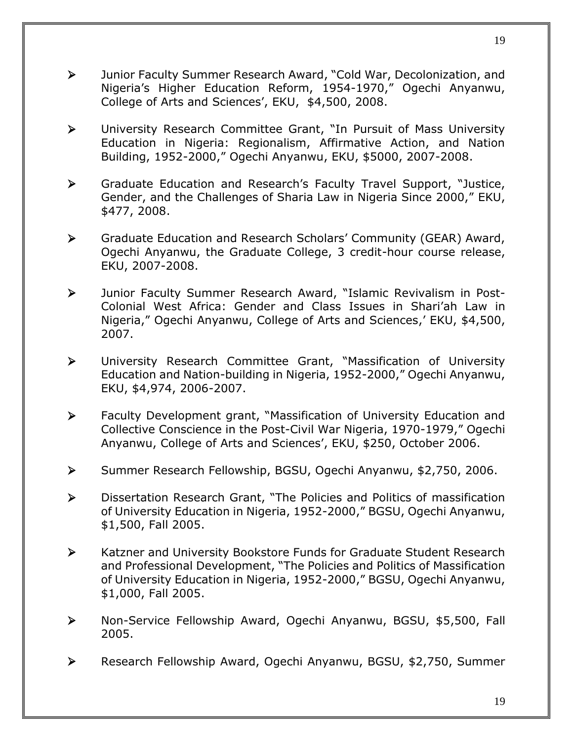- ➢ Junior Faculty Summer Research Award, "Cold War, Decolonization, and Nigeria's Higher Education Reform, 1954-1970," Ogechi Anyanwu, College of Arts and Sciences', EKU, \$4,500, 2008.
- ➢ University Research Committee Grant, "In Pursuit of Mass University Education in Nigeria: Regionalism, Affirmative Action, and Nation Building, 1952-2000," Ogechi Anyanwu, EKU, \$5000, 2007-2008.
- ➢ Graduate Education and Research's Faculty Travel Support, "Justice, Gender, and the Challenges of Sharia Law in Nigeria Since 2000," EKU, \$477, 2008.
- ➢ Graduate Education and Research Scholars' Community (GEAR) Award, Ogechi Anyanwu, the Graduate College, 3 credit-hour course release, EKU, 2007-2008.
- ➢ Junior Faculty Summer Research Award, "Islamic Revivalism in Post-Colonial West Africa: Gender and Class Issues in Shari'ah Law in Nigeria," Ogechi Anyanwu, College of Arts and Sciences,' EKU, \$4,500, 2007.
- ➢ University Research Committee Grant, "Massification of University Education and Nation-building in Nigeria, 1952-2000," Ogechi Anyanwu, EKU, \$4,974, 2006-2007.
- ➢ Faculty Development grant, "Massification of University Education and Collective Conscience in the Post-Civil War Nigeria, 1970-1979," Ogechi Anyanwu, College of Arts and Sciences', EKU, \$250, October 2006.
- ➢ Summer Research Fellowship, BGSU, Ogechi Anyanwu, \$2,750, 2006.
- ➢ Dissertation Research Grant, "The Policies and Politics of massification of University Education in Nigeria, 1952-2000," BGSU, Ogechi Anyanwu, \$1,500, Fall 2005.
- ➢ Katzner and University Bookstore Funds for Graduate Student Research and Professional Development, "The Policies and Politics of Massification of University Education in Nigeria, 1952-2000," BGSU, Ogechi Anyanwu, \$1,000, Fall 2005.
- ➢ Non-Service Fellowship Award, Ogechi Anyanwu, BGSU, \$5,500, Fall 2005.
- ➢ Research Fellowship Award, Ogechi Anyanwu, BGSU, \$2,750, Summer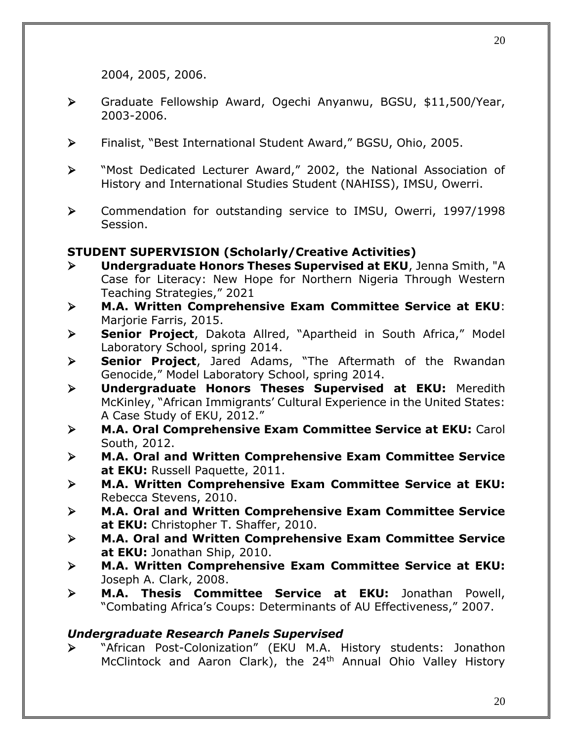2004, 2005, 2006.

- ➢ Graduate Fellowship Award, Ogechi Anyanwu, BGSU, \$11,500/Year, 2003-2006.
- ➢ Finalist, "Best International Student Award," BGSU, Ohio, 2005.
- ➢ "Most Dedicated Lecturer Award," 2002, the National Association of History and International Studies Student (NAHISS), IMSU, Owerri.
- ➢ Commendation for outstanding service to IMSU, Owerri, 1997/1998 Session.

#### **STUDENT SUPERVISION (Scholarly/Creative Activities)**

- ➢ **Undergraduate Honors Theses Supervised at EKU**, Jenna Smith, "A Case for Literacy: New Hope for Northern Nigeria Through Western Teaching Strategies," 2021
- ➢ **M.A. Written Comprehensive Exam Committee Service at EKU**: Marjorie Farris, 2015.
- ➢ **Senior Project**, Dakota Allred, "Apartheid in South Africa," Model Laboratory School, spring 2014.
- ➢ **Senior Project**, Jared Adams, "The Aftermath of the Rwandan Genocide," Model Laboratory School, spring 2014.
- ➢ **Undergraduate Honors Theses Supervised at EKU:** Meredith McKinley, "African Immigrants' Cultural Experience in the United States: A Case Study of EKU, 2012."
- ➢ **M.A. Oral Comprehensive Exam Committee Service at EKU:** Carol South, 2012.
- ➢ **M.A. Oral and Written Comprehensive Exam Committee Service at EKU:** Russell Paquette, 2011.
- ➢ **M.A. Written Comprehensive Exam Committee Service at EKU:**  Rebecca Stevens, 2010.
- ➢ **M.A. Oral and Written Comprehensive Exam Committee Service at EKU:** Christopher T. Shaffer, 2010.
- ➢ **M.A. Oral and Written Comprehensive Exam Committee Service at EKU:** Jonathan Ship, 2010.
- ➢ **M.A. Written Comprehensive Exam Committee Service at EKU:**  Joseph A. Clark, 2008.
- ➢ **M.A. Thesis Committee Service at EKU:** Jonathan Powell, "Combating Africa's Coups: Determinants of AU Effectiveness," 2007.

#### *Undergraduate Research Panels Supervised*

➢ "African Post-Colonization" (EKU M.A. History students: Jonathon McClintock and Aaron Clark), the 24<sup>th</sup> Annual Ohio Valley History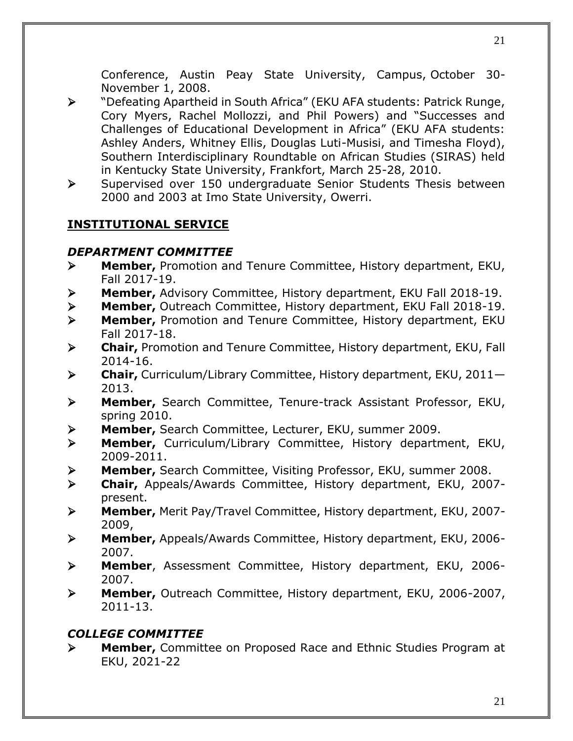Conference, Austin Peay State University, Campus, October 30- November 1, 2008.

- ➢ "Defeating Apartheid in South Africa" (EKU AFA students: Patrick Runge, Cory Myers, Rachel Mollozzi, and Phil Powers) and "Successes and Challenges of Educational Development in Africa" (EKU AFA students: Ashley Anders, Whitney Ellis, Douglas Luti-Musisi, and Timesha Floyd), Southern Interdisciplinary Roundtable on African Studies (SIRAS) held in Kentucky State University, Frankfort, March 25-28, 2010.
- ➢ Supervised over 150 undergraduate Senior Students Thesis between 2000 and 2003 at Imo State University, Owerri.

# **INSTITUTIONAL SERVICE**

## *DEPARTMENT COMMITTEE*

- ➢ **Member,** Promotion and Tenure Committee, History department, EKU, Fall 2017-19.
- ➢ **Member,** Advisory Committee, History department, EKU Fall 2018-19.
- ➢ **Member,** Outreach Committee, History department, EKU Fall 2018-19.
- ➢ **Member,** Promotion and Tenure Committee, History department, EKU Fall 2017-18.
- ➢ **Chair,** Promotion and Tenure Committee, History department, EKU, Fall 2014-16.
- ➢ **Chair,** Curriculum/Library Committee, History department, EKU, 2011— 2013.
- ➢ **Member,** Search Committee, Tenure-track Assistant Professor, EKU, spring 2010.
- ➢ **Member,** Search Committee, Lecturer, EKU, summer 2009.
- ➢ **Member,** Curriculum/Library Committee, History department, EKU, 2009-2011.
- ➢ **Member,** Search Committee, Visiting Professor, EKU, summer 2008.
- ➢ **Chair,** Appeals/Awards Committee, History department, EKU, 2007 present.
- ➢ **Member,** Merit Pay/Travel Committee, History department, EKU, 2007- 2009,
- ➢ **Member,** Appeals/Awards Committee, History department, EKU, 2006- 2007.
- ➢ **Member**, Assessment Committee, History department, EKU, 2006- 2007.
- ➢ **Member,** Outreach Committee, History department, EKU, 2006-2007, 2011-13.

# *COLLEGE COMMITTEE*

➢ **Member,** Committee on Proposed Race and Ethnic Studies Program at EKU, 2021-22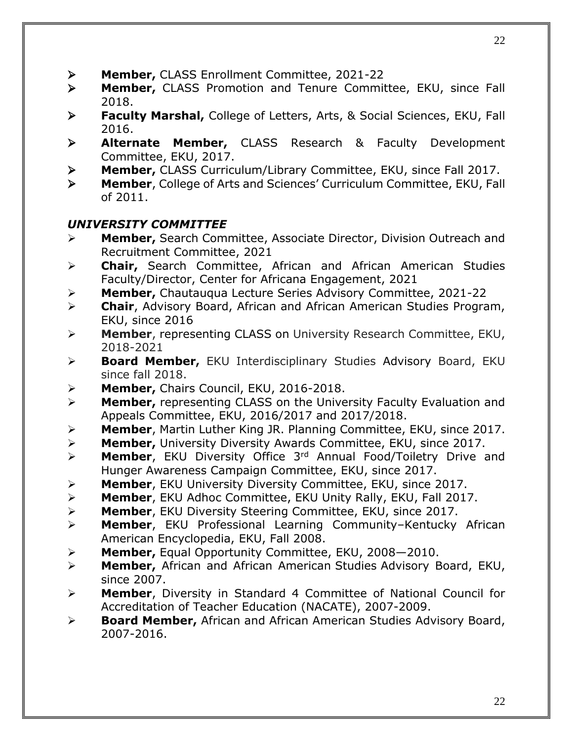22

- ➢ **Member,** CLASS Enrollment Committee, 2021-22
- ➢ **Member,** CLASS Promotion and Tenure Committee, EKU, since Fall 2018.
- ➢ **Faculty Marshal,** College of Letters, Arts, & Social Sciences, EKU, Fall 2016.
- ➢ **Alternate Member,** CLASS Research & Faculty Development Committee, EKU, 2017.
- ➢ **Member,** CLASS Curriculum/Library Committee, EKU, since Fall 2017.
- ➢ **Member**, College of Arts and Sciences' Curriculum Committee, EKU, Fall of 2011.

# *UNIVERSITY COMMITTEE*

- ➢ **Member,** Search Committee, Associate Director, Division Outreach and Recruitment Committee, 2021
- ➢ **Chair,** Search Committee, African and African American Studies Faculty/Director, Center for Africana Engagement, 2021
- ➢ **Member,** Chautauqua Lecture Series Advisory Committee, 2021-22
- ➢ **Chair**, Advisory Board, African and African American Studies Program, EKU, since 2016
- ➢ **Member**, representing CLASS on University Research Committee, EKU, 2018-2021
- ➢ **Board Member,** EKU Interdisciplinary Studies Advisory Board, EKU since fall 2018.
- ➢ **Member,** Chairs Council, EKU, 2016-2018.
- ➢ **Member,** representing CLASS on the University Faculty Evaluation and Appeals Committee, EKU, 2016/2017 and 2017/2018.
- ➢ **Member**, Martin Luther King JR. Planning Committee, EKU, since 2017.
- ➢ **Member,** University Diversity Awards Committee, EKU, since 2017.
- ➢ **Member**, EKU Diversity Office 3rd Annual Food/Toiletry Drive and Hunger Awareness Campaign Committee, EKU, since 2017.
- ➢ **Member**, EKU University Diversity Committee, EKU, since 2017.
- ➢ **Member**, EKU Adhoc Committee, EKU Unity Rally, EKU, Fall 2017.
- ➢ **Member**, EKU Diversity Steering Committee, EKU, since 2017.
- ➢ **Member**, EKU Professional Learning Community–Kentucky African American Encyclopedia, EKU, Fall 2008.
- ➢ **Member,** Equal Opportunity Committee, EKU, 2008—2010.
- ➢ **Member,** African and African American Studies Advisory Board, EKU, since 2007.
- ➢ **Member**, Diversity in Standard 4 Committee of National Council for Accreditation of Teacher Education (NACATE), 2007-2009.
- ➢ **Board Member,** African and African American Studies Advisory Board, 2007-2016.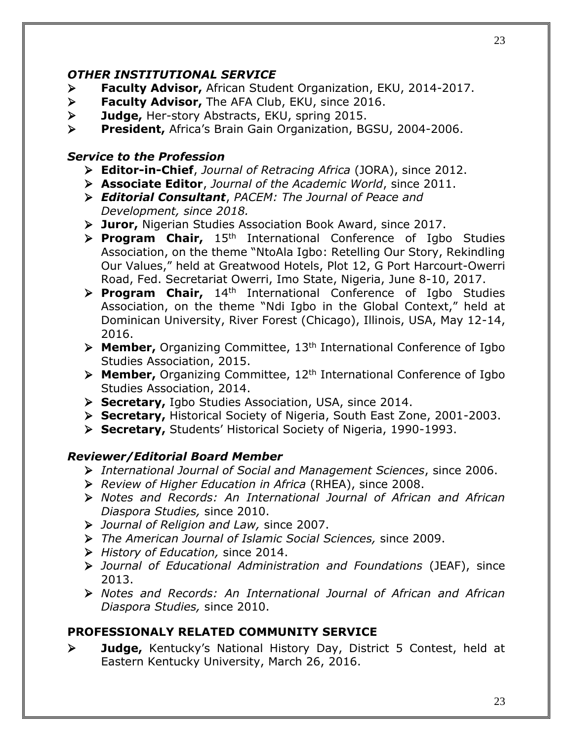#### *OTHER INSTITUTIONAL SERVICE*

- ➢ **Faculty Advisor,** African Student Organization, EKU, 2014-2017.
- ➢ **Faculty Advisor,** The AFA Club, EKU, since 2016.
- ➢ **Judge,** Her-story Abstracts, EKU, spring 2015.
- ➢ **President,** Africa's Brain Gain Organization, BGSU, 2004-2006.

#### *Service to the Profession*

- ➢ **Editor-in-Chief**, *Journal of Retracing Africa* (JORA), since 2012.
- ➢ **Associate Editor**, *Journal of the Academic World*, since 2011.
- ➢ *Editorial Consultant*, *PACEM: The Journal of Peace and Development, since 2018.*
- ➢ **Juror,** Nigerian Studies Association Book Award, since 2017.
- ➢ **Program Chair,** 15th International Conference of Igbo Studies Association, on the theme "NtoAla Igbo: Retelling Our Story, Rekindling Our Values," held at Greatwood Hotels, Plot 12, G Port Harcourt-Owerri Road, Fed. Secretariat Owerri, Imo State, Nigeria, June 8-10, 2017.
- ➢ **Program Chair,** 14th International Conference of Igbo Studies Association, on the theme "Ndi Igbo in the Global Context," held at Dominican University, River Forest (Chicago), Illinois, USA, May 12-14, 2016.
- ➢ **Member,** Organizing Committee, 13th International Conference of Igbo Studies Association, 2015.
- ➢ **Member,** Organizing Committee, 12th International Conference of Igbo Studies Association, 2014.
- ➢ **Secretary,** Igbo Studies Association, USA, since 2014.
- ➢ **Secretary,** Historical Society of Nigeria, South East Zone, 2001-2003.
- ➢ **Secretary,** Students' Historical Society of Nigeria, 1990-1993.

#### *Reviewer/Editorial Board Member*

- ➢ *International Journal of Social and Management Sciences*, since 2006.
- ➢ *Review of Higher Education in Africa* (RHEA), since 2008.
- ➢ *Notes and Records: An International Journal of African and African Diaspora Studies,* since 2010.
- ➢ *Journal of Religion and Law,* since 2007.
- ➢ *The American Journal of Islamic Social Sciences,* since 2009.
- ➢ *History of Education,* since 2014.
- ➢ *Journal of Educational Administration and Foundations* (JEAF), since 2013.
- ➢ *Notes and Records: An International Journal of African and African Diaspora Studies,* since 2010.

#### **PROFESSIONALY RELATED COMMUNITY SERVICE**

➢ **Judge,** Kentucky's National History Day, District 5 Contest, held at Eastern Kentucky University, March 26, 2016.